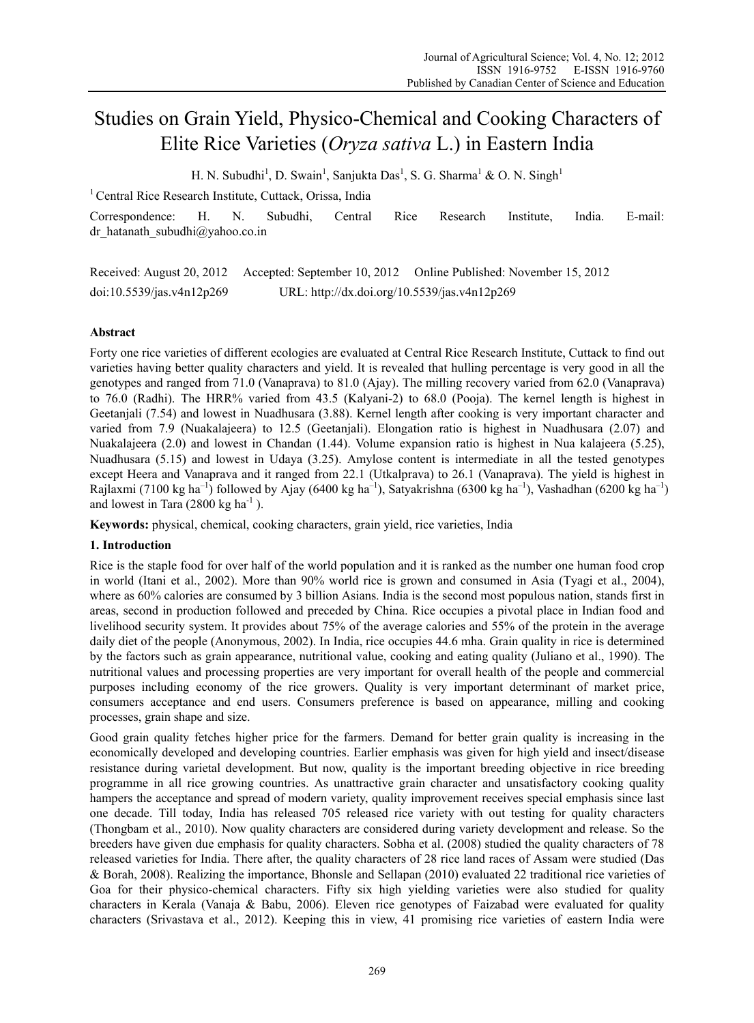# Studies on Grain Yield, Physico-Chemical and Cooking Characters of Elite Rice Varieties (*Oryza sativa* L.) in Eastern India

H. N. Subudhi<sup>1</sup>, D. Swain<sup>1</sup>, Sanjukta Das<sup>1</sup>, S. G. Sharma<sup>1</sup> & O. N. Singh<sup>1</sup>

<sup>1</sup> Central Rice Research Institute, Cuttack, Orissa, India

Correspondence: H. N. Subudhi, Central Rice Research Institute, India. E-mail: dr\_hatanath\_subudhi@yahoo.co.in

Received: August 20, 2012 Accepted: September 10, 2012 Online Published: November 15, 2012 doi:10.5539/jas.v4n12p269 URL: http://dx.doi.org/10.5539/jas.v4n12p269

## **Abstract**

Forty one rice varieties of different ecologies are evaluated at Central Rice Research Institute, Cuttack to find out varieties having better quality characters and yield. It is revealed that hulling percentage is very good in all the genotypes and ranged from 71.0 (Vanaprava) to 81.0 (Ajay). The milling recovery varied from 62.0 (Vanaprava) to 76.0 (Radhi). The HRR% varied from 43.5 (Kalyani-2) to 68.0 (Pooja). The kernel length is highest in Geetanjali (7.54) and lowest in Nuadhusara (3.88). Kernel length after cooking is very important character and varied from 7.9 (Nuakalajeera) to 12.5 (Geetanjali). Elongation ratio is highest in Nuadhusara (2.07) and Nuakalajeera (2.0) and lowest in Chandan (1.44). Volume expansion ratio is highest in Nua kalajeera (5.25), Nuadhusara (5.15) and lowest in Udaya (3.25). Amylose content is intermediate in all the tested genotypes except Heera and Vanaprava and it ranged from 22.1 (Utkalprava) to 26.1 (Vanaprava). The yield is highest in Rajlaxmi (7100 kg ha<sup>-1</sup>) followed by Ajay (6400 kg ha<sup>-1</sup>), Satyakrishna (6300 kg ha<sup>-1</sup>), Vashadhan (6200 kg ha<sup>-1</sup>) and lowest in Tara  $(2800 \text{ kg ha}^{-1})$ .

**Keywords:** physical, chemical, cooking characters, grain yield, rice varieties, India

## **1. Introduction**

Rice is the staple food for over half of the world population and it is ranked as the number one human food crop in world (Itani et al., 2002). More than 90% world rice is grown and consumed in Asia (Tyagi et al., 2004), where as 60% calories are consumed by 3 billion Asians. India is the second most populous nation, stands first in areas, second in production followed and preceded by China. Rice occupies a pivotal place in Indian food and livelihood security system. It provides about 75% of the average calories and 55% of the protein in the average daily diet of the people (Anonymous, 2002). In India, rice occupies 44.6 mha. Grain quality in rice is determined by the factors such as grain appearance, nutritional value, cooking and eating quality (Juliano et al., 1990). The nutritional values and processing properties are very important for overall health of the people and commercial purposes including economy of the rice growers. Quality is very important determinant of market price, consumers acceptance and end users. Consumers preference is based on appearance, milling and cooking processes, grain shape and size.

Good grain quality fetches higher price for the farmers. Demand for better grain quality is increasing in the economically developed and developing countries. Earlier emphasis was given for high yield and insect/disease resistance during varietal development. But now, quality is the important breeding objective in rice breeding programme in all rice growing countries. As unattractive grain character and unsatisfactory cooking quality hampers the acceptance and spread of modern variety, quality improvement receives special emphasis since last one decade. Till today, India has released 705 released rice variety with out testing for quality characters (Thongbam et al., 2010). Now quality characters are considered during variety development and release. So the breeders have given due emphasis for quality characters. Sobha et al. (2008) studied the quality characters of 78 released varieties for India. There after, the quality characters of 28 rice land races of Assam were studied (Das & Borah, 2008). Realizing the importance, Bhonsle and Sellapan (2010) evaluated 22 traditional rice varieties of Goa for their physico-chemical characters. Fifty six high yielding varieties were also studied for quality characters in Kerala (Vanaja & Babu, 2006). Eleven rice genotypes of Faizabad were evaluated for quality characters (Srivastava et al., 2012). Keeping this in view, 41 promising rice varieties of eastern India were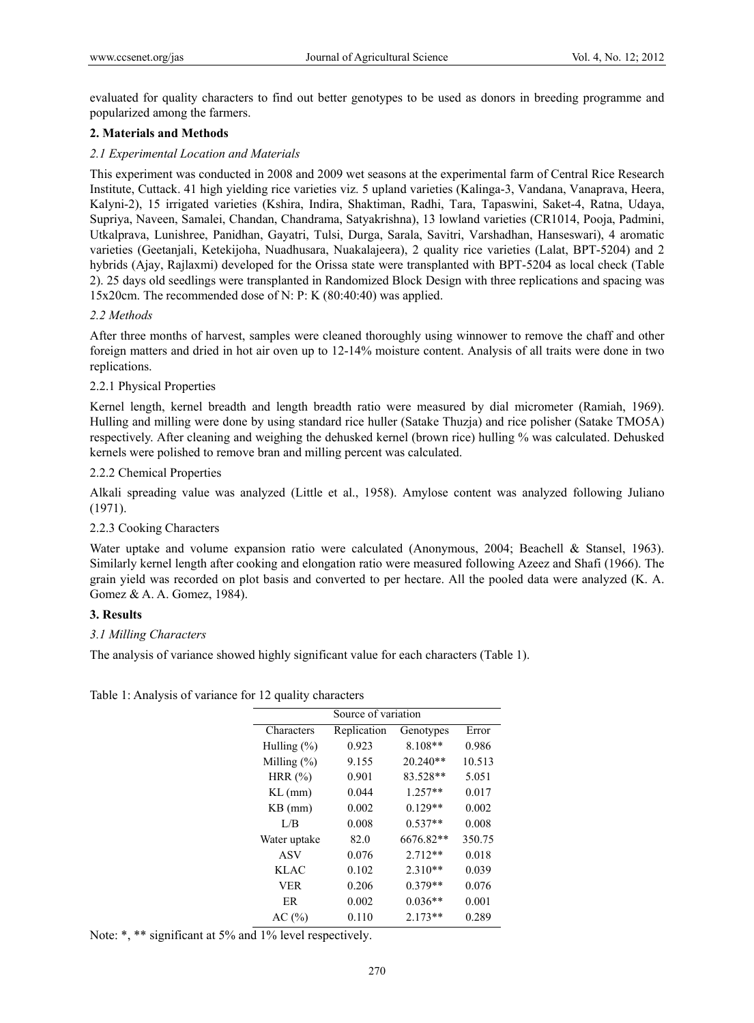evaluated for quality characters to find out better genotypes to be used as donors in breeding programme and popularized among the farmers.

## **2. Materials and Methods**

## *2.1 Experimental Location and Materials*

This experiment was conducted in 2008 and 2009 wet seasons at the experimental farm of Central Rice Research Institute, Cuttack. 41 high yielding rice varieties viz. 5 upland varieties (Kalinga-3, Vandana, Vanaprava, Heera, Kalyni-2), 15 irrigated varieties (Kshira, Indira, Shaktiman, Radhi, Tara, Tapaswini, Saket-4, Ratna, Udaya, Supriya, Naveen, Samalei, Chandan, Chandrama, Satyakrishna), 13 lowland varieties (CR1014, Pooja, Padmini, Utkalprava, Lunishree, Panidhan, Gayatri, Tulsi, Durga, Sarala, Savitri, Varshadhan, Hanseswari), 4 aromatic varieties (Geetanjali, Ketekijoha, Nuadhusara, Nuakalajeera), 2 quality rice varieties (Lalat, BPT-5204) and 2 hybrids (Ajay, Rajlaxmi) developed for the Orissa state were transplanted with BPT-5204 as local check (Table 2). 25 days old seedlings were transplanted in Randomized Block Design with three replications and spacing was 15x20cm. The recommended dose of N: P: K (80:40:40) was applied.

## *2.2 Methods*

After three months of harvest, samples were cleaned thoroughly using winnower to remove the chaff and other foreign matters and dried in hot air oven up to 12-14% moisture content. Analysis of all traits were done in two replications.

## 2.2.1 Physical Properties

Kernel length, kernel breadth and length breadth ratio were measured by dial micrometer (Ramiah, 1969). Hulling and milling were done by using standard rice huller (Satake Thuzja) and rice polisher (Satake TMO5A) respectively. After cleaning and weighing the dehusked kernel (brown rice) hulling % was calculated. Dehusked kernels were polished to remove bran and milling percent was calculated.

## 2.2.2 Chemical Properties

Alkali spreading value was analyzed (Little et al., 1958). Amylose content was analyzed following Juliano (1971).

## 2.2.3 Cooking Characters

Water uptake and volume expansion ratio were calculated (Anonymous, 2004; Beachell & Stansel, 1963). Similarly kernel length after cooking and elongation ratio were measured following Azeez and Shafi (1966). The grain yield was recorded on plot basis and converted to per hectare. All the pooled data were analyzed (K. A. Gomez & A. A. Gomez, 1984).

### **3. Results**

## *3.1 Milling Characters*

The analysis of variance showed highly significant value for each characters (Table 1).

Table 1: Analysis of variance for 12 quality characters

| Source of variation |             |            |        |  |  |
|---------------------|-------------|------------|--------|--|--|
| Characters          | Replication | Genotypes  | Error  |  |  |
| Hulling $(\%)$      | 0.923       | $8.108**$  | 0.986  |  |  |
| Milling $(\%)$      | 9.155       | $20.240**$ | 10.513 |  |  |
| HRR $(\%)$          | 0.901       | 83.528**   | 5.051  |  |  |
| $KL$ (mm)           | 0.044       | $1.257**$  | 0.017  |  |  |
| $KB$ (mm)           | 0.002       | $0.129**$  | 0.002  |  |  |
| L/B                 | 0.008       | $0.537**$  | 0.008  |  |  |
| Water uptake        | 82.0        | 6676.82**  | 350.75 |  |  |
| ASV                 | 0.076       | $2.712**$  | 0.018  |  |  |
| <b>KLAC</b>         | 0.102       | 2.310**    | 0.039  |  |  |
| <b>VER</b>          | 0.206       | $0.379**$  | 0.076  |  |  |
| ER                  | 0.002       | $0.036**$  | 0.001  |  |  |
| AC(%)               | 0.110       | $2.173**$  | 0.289  |  |  |

Note: \*, \*\* significant at 5% and 1% level respectively.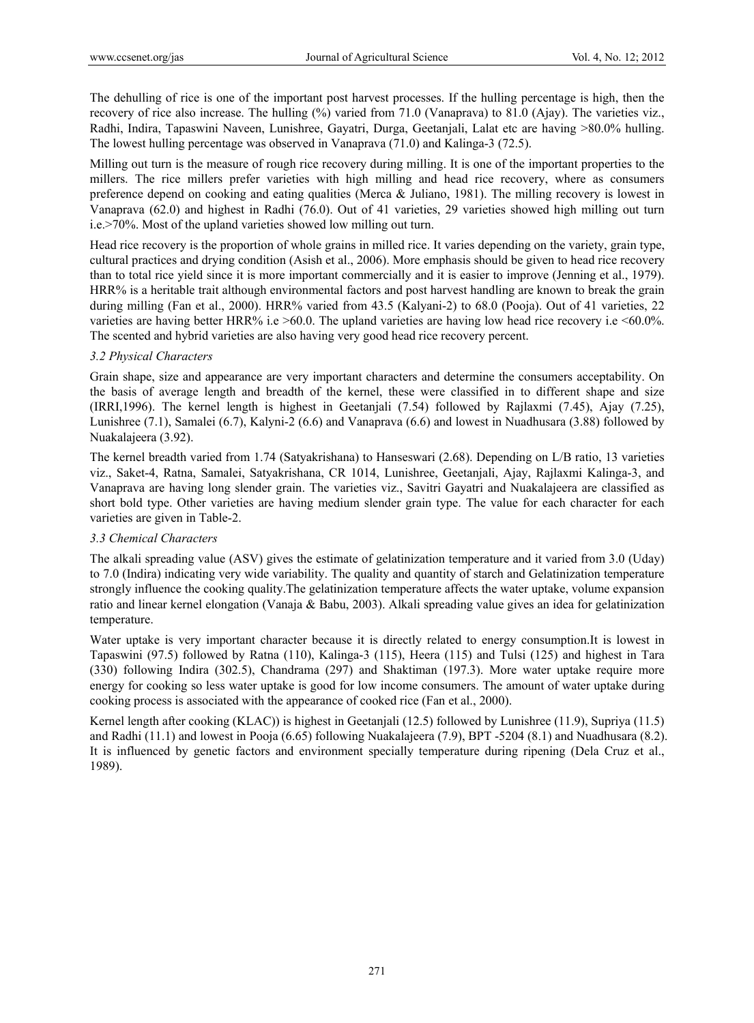The dehulling of rice is one of the important post harvest processes. If the hulling percentage is high, then the recovery of rice also increase. The hulling (%) varied from 71.0 (Vanaprava) to 81.0 (Ajay). The varieties viz., Radhi, Indira, Tapaswini Naveen, Lunishree, Gayatri, Durga, Geetanjali, Lalat etc are having >80.0% hulling. The lowest hulling percentage was observed in Vanaprava (71.0) and Kalinga-3 (72.5).

Milling out turn is the measure of rough rice recovery during milling. It is one of the important properties to the millers. The rice millers prefer varieties with high milling and head rice recovery, where as consumers preference depend on cooking and eating qualities (Merca & Juliano, 1981). The milling recovery is lowest in Vanaprava (62.0) and highest in Radhi (76.0). Out of 41 varieties, 29 varieties showed high milling out turn i.e.>70%. Most of the upland varieties showed low milling out turn.

Head rice recovery is the proportion of whole grains in milled rice. It varies depending on the variety, grain type, cultural practices and drying condition (Asish et al., 2006). More emphasis should be given to head rice recovery than to total rice yield since it is more important commercially and it is easier to improve (Jenning et al., 1979). HRR% is a heritable trait although environmental factors and post harvest handling are known to break the grain during milling (Fan et al., 2000). HRR% varied from 43.5 (Kalyani-2) to 68.0 (Pooja). Out of 41 varieties, 22 varieties are having better HRR% i.e >60.0. The upland varieties are having low head rice recovery i.e <60.0%. The scented and hybrid varieties are also having very good head rice recovery percent.

## *3.2 Physical Characters*

Grain shape, size and appearance are very important characters and determine the consumers acceptability. On the basis of average length and breadth of the kernel, these were classified in to different shape and size (IRRI,1996). The kernel length is highest in Geetanjali (7.54) followed by Rajlaxmi (7.45), Ajay (7.25), Lunishree (7.1), Samalei (6.7), Kalyni-2 (6.6) and Vanaprava (6.6) and lowest in Nuadhusara (3.88) followed by Nuakalajeera (3.92).

The kernel breadth varied from 1.74 (Satyakrishana) to Hanseswari (2.68). Depending on L/B ratio, 13 varieties viz., Saket-4, Ratna, Samalei, Satyakrishana, CR 1014, Lunishree, Geetanjali, Ajay, Rajlaxmi Kalinga-3, and Vanaprava are having long slender grain. The varieties viz., Savitri Gayatri and Nuakalajeera are classified as short bold type. Other varieties are having medium slender grain type. The value for each character for each varieties are given in Table-2.

### *3.3 Chemical Characters*

The alkali spreading value (ASV) gives the estimate of gelatinization temperature and it varied from 3.0 (Uday) to 7.0 (Indira) indicating very wide variability. The quality and quantity of starch and Gelatinization temperature strongly influence the cooking quality.The gelatinization temperature affects the water uptake, volume expansion ratio and linear kernel elongation (Vanaja & Babu, 2003). Alkali spreading value gives an idea for gelatinization temperature.

Water uptake is very important character because it is directly related to energy consumption.It is lowest in Tapaswini (97.5) followed by Ratna (110), Kalinga-3 (115), Heera (115) and Tulsi (125) and highest in Tara (330) following Indira (302.5), Chandrama (297) and Shaktiman (197.3). More water uptake require more energy for cooking so less water uptake is good for low income consumers. The amount of water uptake during cooking process is associated with the appearance of cooked rice (Fan et al., 2000).

Kernel length after cooking (KLAC)) is highest in Geetanjali (12.5) followed by Lunishree (11.9), Supriya (11.5) and Radhi (11.1) and lowest in Pooja (6.65) following Nuakalajeera (7.9), BPT -5204 (8.1) and Nuadhusara (8.2). It is influenced by genetic factors and environment specially temperature during ripening (Dela Cruz et al., 1989).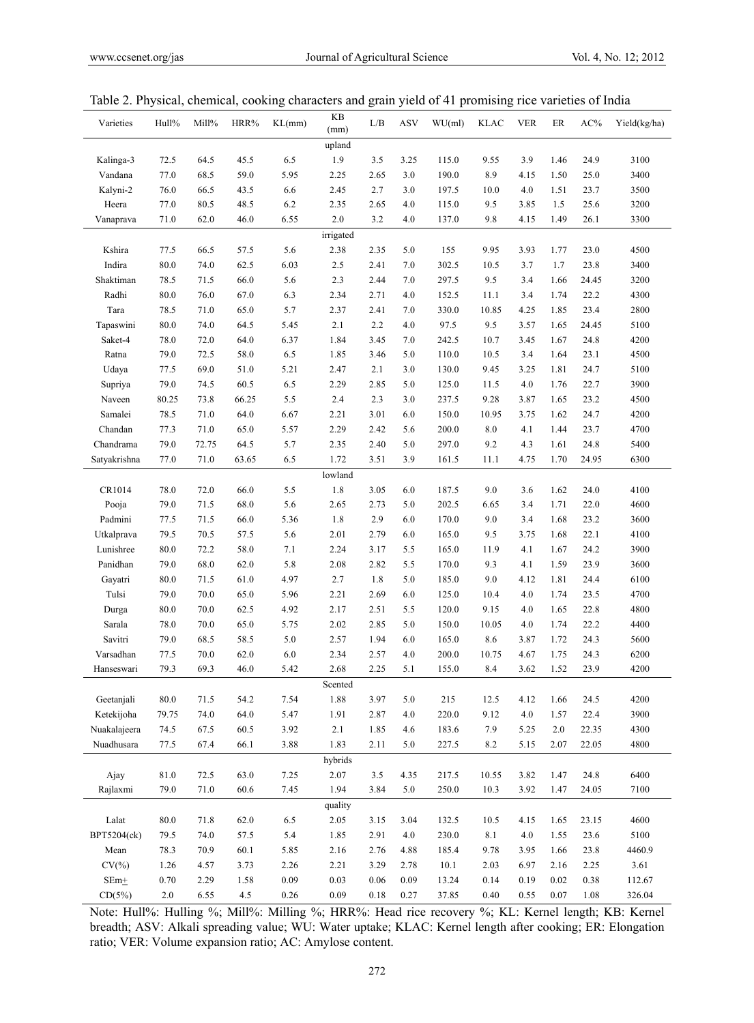| Varieties    | Hull%        | Mill%        | HRR%         | KL(mm)      | $\mathbf{KB}$<br>(mm) | L/B      | ASV        | $WU$ (ml) | <b>KLAC</b> | <b>VER</b>   | ER   | $AC\%$       | Yield(kg/ha) |
|--------------|--------------|--------------|--------------|-------------|-----------------------|----------|------------|-----------|-------------|--------------|------|--------------|--------------|
|              |              |              |              |             | upland                |          |            |           |             |              |      |              |              |
| Kalinga-3    | 72.5         | 64.5         | 45.5         | 6.5         | 1.9                   | 3.5      | 3.25       | 115.0     | 9.55        | 3.9          | 1.46 | 24.9         | 3100         |
| Vandana      | 77.0         | 68.5         | 59.0         | 5.95        | 2.25                  | 2.65     | 3.0        | 190.0     | 8.9         | 4.15         | 1.50 | 25.0         | 3400         |
| Kalyni-2     | 76.0         | 66.5         | 43.5         | 6.6         | 2.45                  | 2.7      | 3.0        | 197.5     | 10.0        | 4.0          | 1.51 | 23.7         | 3500         |
| Heera        | 77.0         | 80.5         | 48.5         | 6.2         | 2.35                  | 2.65     | 4.0        | 115.0     | 9.5         | 3.85         | 1.5  | 25.6         | 3200         |
| Vanaprava    | 71.0         | 62.0         | 46.0         | 6.55        | 2.0                   | 3.2      | 4.0        | 137.0     | 9.8         | 4.15         | 1.49 | 26.1         | 3300         |
|              |              |              |              |             | irrigated             |          |            |           |             |              |      |              |              |
| Kshira       | 77.5         | 66.5         | 57.5         | 5.6         | 2.38                  | 2.35     | 5.0        | 155       | 9.95        | 3.93         | 1.77 | 23.0         | 4500         |
| Indira       | 80.0         | 74.0         | 62.5         | 6.03        | 2.5                   | 2.41     | 7.0        | 302.5     | 10.5        | 3.7          | 1.7  | 23.8         | 3400         |
| Shaktiman    | 78.5         | 71.5         | 66.0         | 5.6         | 2.3                   | 2.44     | 7.0        | 297.5     | 9.5         | 3.4          | 1.66 | 24.45        | 3200         |
| Radhi        | 80.0         | 76.0         | 67.0         | 6.3         | 2.34                  | 2.71     | 4.0        | 152.5     | 11.1        | 3.4          | 1.74 | 22.2         | 4300         |
| Tara         | 78.5         | 71.0         | 65.0         | 5.7         | 2.37                  | 2.41     | 7.0        | 330.0     | 10.85       | 4.25         | 1.85 | 23.4         | 2800         |
| Tapaswini    | 80.0         | 74.0         | 64.5         | 5.45        | 2.1                   | 2.2      | 4.0        | 97.5      | 9.5         | 3.57         | 1.65 | 24.45        | 5100         |
| Saket-4      | 78.0         | 72.0         | 64.0         | 6.37        | 1.84                  | 3.45     | 7.0        | 242.5     | 10.7        | 3.45         | 1.67 | 24.8         | 4200         |
| Ratna        | 79.0         | 72.5         | 58.0         | 6.5         | 1.85                  | 3.46     | 5.0        | 110.0     | 10.5        | 3.4          | 1.64 | 23.1         | 4500         |
| Udaya        | 77.5         | 69.0         | 51.0         | 5.21        | 2.47                  | 2.1      | 3.0        | 130.0     | 9.45        | 3.25         | 1.81 | 24.7         | 5100         |
| Supriya      | 79.0         | 74.5         | 60.5         | 6.5         | 2.29                  | 2.85     | 5.0        | 125.0     | 11.5        | 4.0          | 1.76 | 22.7         | 3900         |
| Naveen       | 80.25        | 73.8         | 66.25        | 5.5         | 2.4                   | 2.3      | 3.0        | 237.5     | 9.28        | 3.87         | 1.65 | 23.2         | 4500         |
| Samalei      | 78.5         | 71.0         | 64.0         | 6.67        | 2.21                  | 3.01     | 6.0        | 150.0     | 10.95       | 3.75         | 1.62 | 24.7         | 4200         |
| Chandan      | 77.3         | 71.0         | 65.0         | 5.57        | 2.29                  | 2.42     | 5.6        | 200.0     | 8.0         | 4.1          | 1.44 | 23.7         | 4700         |
| Chandrama    | 79.0         | 72.75        | 64.5         | 5.7         | 2.35                  | 2.40     | 5.0        | 297.0     | 9.2         | 4.3          | 1.61 | 24.8         | 5400         |
| Satyakrishna | 77.0         | 71.0         | 63.65        | 6.5         | 1.72                  | 3.51     | 3.9        | 161.5     | 11.1        | 4.75         | 1.70 | 24.95        | 6300         |
|              |              |              |              |             | lowland               |          |            |           |             |              |      |              |              |
| CR1014       | 78.0         | 72.0         | 66.0         | 5.5         | 1.8                   | 3.05     | 6.0        | 187.5     | 9.0         | 3.6          | 1.62 | 24.0         | 4100         |
| Pooja        | 79.0         | 71.5         | 68.0         | 5.6         | 2.65                  | 2.73     | 5.0        | 202.5     | 6.65        | 3.4          | 1.71 | 22.0         | 4600         |
| Padmini      | 77.5         | 71.5         | 66.0         | 5.36        | 1.8                   | 2.9      | 6.0        | 170.0     | 9.0         | 3.4          | 1.68 | 23.2         | 3600         |
| Utkalprava   | 79.5         | 70.5         | 57.5         | 5.6         | 2.01                  | 2.79     | 6.0        | 165.0     | 9.5         | 3.75         | 1.68 | 22.1         | 4100         |
| Lunishree    | 80.0         | 72.2         | 58.0         | 7.1         | 2.24                  | 3.17     | 5.5        | 165.0     | 11.9        | 4.1          | 1.67 | 24.2         | 3900         |
| Panidhan     | 79.0         | 68.0         | 62.0         | 5.8         | 2.08                  | 2.82     | 5.5        | 170.0     | 9.3         | 4.1          | 1.59 | 23.9         | 3600         |
| Gayatri      | 80.0         | 71.5         | 61.0         | 4.97        | 2.7                   | 1.8      | 5.0        | 185.0     | 9.0         | 4.12         | 1.81 | 24.4         | 6100         |
| Tulsi        | 79.0         | 70.0         | 65.0         | 5.96        | 2.21                  | 2.69     | 6.0        | 125.0     | 10.4        | 4.0          | 1.74 | 23.5         | 4700         |
|              | 80.0         | 70.0         | 62.5         | 4.92        | 2.17                  | 2.51     | 5.5        | 120.0     | 9.15        | 4.0          |      | 22.8         | 4800         |
| Durga        |              |              |              |             | 2.02                  | 2.85     | 5.0        |           |             |              | 1.65 |              |              |
| Sarala       | 78.0         | 70.0         | 65.0         | 5.75        |                       |          |            | 150.0     | 10.05       | 4.0          | 1.74 | 22.2         | 4400         |
| Savitri      | 79.0         | 68.5         | 58.5         | 5.0         | 2.57                  | 1.94     | 6.0        | 165.0     | 8.6         | 3.87         | 1.72 | 24.3         | 5600         |
| Varsadhan    | 77.5<br>79.3 | 70.0<br>69.3 | 62.0<br>46.0 | 6.0<br>5.42 | 2.34<br>2.68          | 2.57     | 4.0<br>5.1 | 200.0     | 10.75       | 4.67<br>3.62 | 1.75 | 24.3<br>23.9 | 6200<br>4200 |
| Hanseswari   |              |              |              |             | Scented               | 2.25     |            | 155.0     | 8.4         |              | 1.52 |              |              |
|              |              |              |              |             |                       |          |            |           |             |              |      |              |              |
| Geetanjali   | 80.0         | 71.5         | 54.2         | 7.54        | 1.88                  | 3.97     | 5.0        | 215       | 12.5        | 4.12         | 1.66 | 24.5         | 4200         |
| Ketekijoha   | 79.75        | 74.0         | 64.0         | 5.47        | 1.91                  | 2.87     | 4.0        | 220.0     | 9.12        | 4.0          | 1.57 | 22.4         | 3900         |
| Nuakalajeera | 74.5         | 67.5         | 60.5         | 3.92        | 2.1                   | 1.85     | 4.6        | 183.6     | 7.9         | 5.25         | 2.0  | 22.35        | 4300         |
| Nuadhusara   | 77.5         | 67.4         | 66.1         | 3.88        | 1.83                  | 2.11     | 5.0        | 227.5     | 8.2         | 5.15         | 2.07 | 22.05        | 4800         |
|              |              |              |              |             | hybrids               |          |            |           |             |              |      |              |              |
| Ajay         | 81.0         | 72.5         | 63.0         | 7.25        | 2.07                  | 3.5      | 4.35       | 217.5     | 10.55       | 3.82         | 1.47 | 24.8         | 6400         |
| Rajlaxmi     | 79.0         | 71.0         | 60.6         | 7.45        | 1.94                  | 3.84     | 5.0        | 250.0     | 10.3        | 3.92         | 1.47 | 24.05        | 7100         |
|              |              |              |              |             | quality               |          |            |           |             |              |      |              |              |
| Lalat        | 80.0         | 71.8         | 62.0         | 6.5         | 2.05                  | 3.15     | 3.04       | 132.5     | 10.5        | 4.15         | 1.65 | 23.15        | 4600         |
| BPT5204(ck)  | 79.5         | 74.0         | 57.5         | 5.4         | 1.85                  | 2.91     | 4.0        | 230.0     | $8.1\,$     | 4.0          | 1.55 | 23.6         | 5100         |
| Mean         | 78.3         | 70.9         | 60.1         | 5.85        | 2.16                  | 2.76     | 4.88       | 185.4     | 9.78        | 3.95         | 1.66 | 23.8         | 4460.9       |
| $CV(\% )$    | 1.26         | 4.57         | 3.73         | 2.26        | 2.21                  | 3.29     | 2.78       | 10.1      | 2.03        | 6.97         | 2.16 | 2.25         | 3.61         |
| $SEm+$       | 0.70         | 2.29         | 1.58         | 0.09        | 0.03                  | 0.06     | 0.09       | 13.24     | 0.14        | 0.19         | 0.02 | 0.38         | 112.67       |
| CD(5%)       | 2.0          | 6.55         | 4.5          | 0.26        | 0.09                  | $0.18\,$ | 0.27       | 37.85     | 0.40        | 0.55         | 0.07 | 1.08         | 326.04       |

| Table 2. Physical, chemical, cooking characters and grain yield of 41 promising rice varieties of India |  |  |  |  |  |
|---------------------------------------------------------------------------------------------------------|--|--|--|--|--|
|                                                                                                         |  |  |  |  |  |
|                                                                                                         |  |  |  |  |  |
|                                                                                                         |  |  |  |  |  |

Note: Hull%: Hulling %; Mill%: Milling %; HRR%: Head rice recovery %; KL: Kernel length; KB: Kernel breadth; ASV: Alkali spreading value; WU: Water uptake; KLAC: Kernel length after cooking; ER: Elongation ratio; VER: Volume expansion ratio; AC: Amylose content.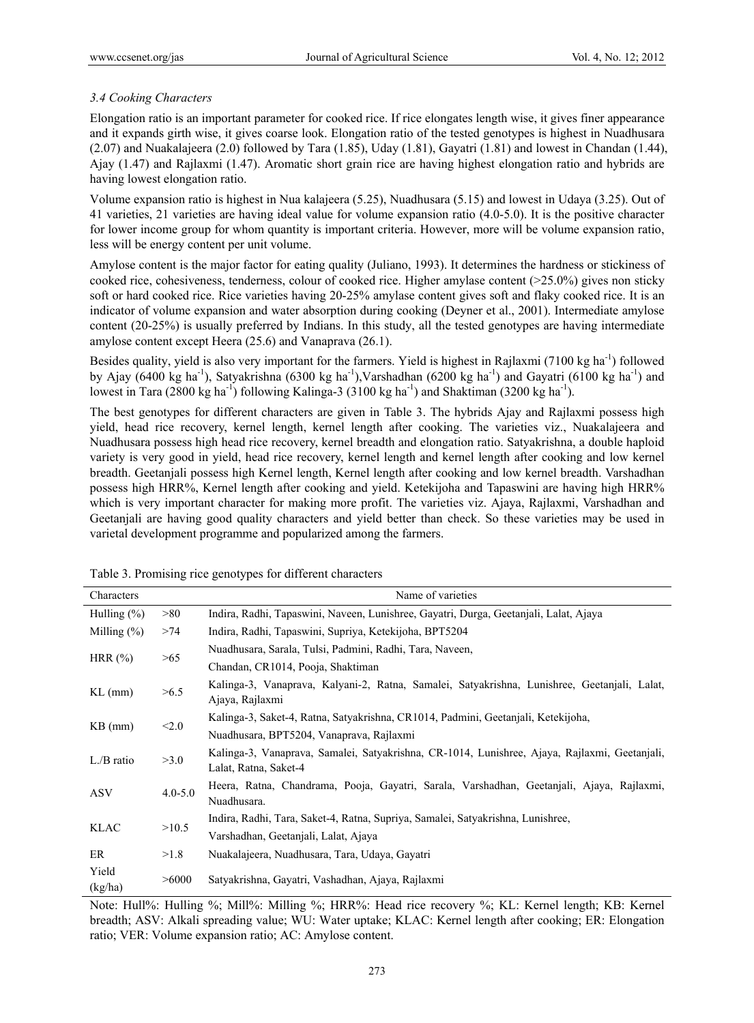## *3.4 Cooking Characters*

Elongation ratio is an important parameter for cooked rice. If rice elongates length wise, it gives finer appearance and it expands girth wise, it gives coarse look. Elongation ratio of the tested genotypes is highest in Nuadhusara (2.07) and Nuakalajeera (2.0) followed by Tara (1.85), Uday (1.81), Gayatri (1.81) and lowest in Chandan (1.44), Ajay (1.47) and Rajlaxmi (1.47). Aromatic short grain rice are having highest elongation ratio and hybrids are having lowest elongation ratio.

Volume expansion ratio is highest in Nua kalajeera (5.25), Nuadhusara (5.15) and lowest in Udaya (3.25). Out of 41 varieties, 21 varieties are having ideal value for volume expansion ratio (4.0-5.0). It is the positive character for lower income group for whom quantity is important criteria. However, more will be volume expansion ratio, less will be energy content per unit volume.

Amylose content is the major factor for eating quality (Juliano, 1993). It determines the hardness or stickiness of cooked rice, cohesiveness, tenderness, colour of cooked rice. Higher amylase content (>25.0%) gives non sticky soft or hard cooked rice. Rice varieties having 20-25% amylase content gives soft and flaky cooked rice. It is an indicator of volume expansion and water absorption during cooking (Deyner et al., 2001). Intermediate amylose content (20-25%) is usually preferred by Indians. In this study, all the tested genotypes are having intermediate amylose content except Heera (25.6) and Vanaprava (26.1).

Besides quality, yield is also very important for the farmers. Yield is highest in Rajlaxmi (7100 kg ha<sup>-1</sup>) followed by Ajay (6400 kg ha<sup>-1</sup>), Satyakrishna (6300 kg ha<sup>-1</sup>), Varshadhan (6200 kg ha<sup>-1</sup>) and Gayatri (6100 kg ha<sup>-1</sup>) and lowest in Tara (2800 kg ha<sup>-1</sup>) following Kalinga-3 (3100 kg ha<sup>-1</sup>) and Shaktiman (3200 kg ha<sup>-1</sup>).

The best genotypes for different characters are given in Table 3. The hybrids Ajay and Rajlaxmi possess high yield, head rice recovery, kernel length, kernel length after cooking. The varieties viz., Nuakalajeera and Nuadhusara possess high head rice recovery, kernel breadth and elongation ratio. Satyakrishna, a double haploid variety is very good in yield, head rice recovery, kernel length and kernel length after cooking and low kernel breadth. Geetanjali possess high Kernel length, Kernel length after cooking and low kernel breadth. Varshadhan possess high HRR%, Kernel length after cooking and yield. Ketekijoha and Tapaswini are having high HRR% which is very important character for making more profit. The varieties viz. Ajaya, Rajlaxmi, Varshadhan and Geetanjali are having good quality characters and yield better than check. So these varieties may be used in varietal development programme and popularized among the farmers.

| Characters           |                                          | Name of varieties                                                                             |  |  |  |  |  |  |  |
|----------------------|------------------------------------------|-----------------------------------------------------------------------------------------------|--|--|--|--|--|--|--|
| Hulling $(\% )$      | >80                                      | Indira, Radhi, Tapaswini, Naveen, Lunishree, Gayatri, Durga, Geetanjali, Lalat, Ajaya         |  |  |  |  |  |  |  |
| Milling $(\%)$       | >74                                      | Indira, Radhi, Tapaswini, Supriya, Ketekijoha, BPT5204                                        |  |  |  |  |  |  |  |
| HRR $(\%)$<br>>65    |                                          | Nuadhusara, Sarala, Tulsi, Padmini, Radhi, Tara, Naveen,                                      |  |  |  |  |  |  |  |
|                      |                                          | Chandan, CR1014, Pooja, Shaktiman                                                             |  |  |  |  |  |  |  |
| $KL$ (mm)            | >6.5                                     | Kalinga-3, Vanaprava, Kalyani-2, Ratna, Samalei, Satyakrishna, Lunishree, Geetanjali, Lalat,  |  |  |  |  |  |  |  |
|                      |                                          | Ajaya, Rajlaxmi                                                                               |  |  |  |  |  |  |  |
| $KB$ (mm)            | < 2.0                                    | Kalinga-3, Saket-4, Ratna, Satyakrishna, CR1014, Padmini, Geetanjali, Ketekijoha,             |  |  |  |  |  |  |  |
|                      | Nuadhusara, BPT5204, Vanaprava, Rajlaxmi |                                                                                               |  |  |  |  |  |  |  |
| $L/B$ ratio          | >3.0                                     | Kalinga-3, Vanaprava, Samalei, Satyakrishna, CR-1014, Lunishree, Ajaya, Rajlaxmi, Geetanjali, |  |  |  |  |  |  |  |
|                      | Lalat, Ratna, Saket-4                    |                                                                                               |  |  |  |  |  |  |  |
| <b>ASV</b>           | $4.0 - 5.0$                              | Heera, Ratna, Chandrama, Pooja, Gayatri, Sarala, Varshadhan, Geetanjali, Ajaya, Rajlaxmi,     |  |  |  |  |  |  |  |
|                      | Nuadhusara.                              |                                                                                               |  |  |  |  |  |  |  |
| >10.5<br><b>KLAC</b> |                                          | Indira, Radhi, Tara, Saket-4, Ratna, Supriya, Samalei, Satyakrishna, Lunishree,               |  |  |  |  |  |  |  |
|                      |                                          | Varshadhan, Geetanjali, Lalat, Ajaya                                                          |  |  |  |  |  |  |  |
| ER                   | >1.8                                     | Nuakalajeera, Nuadhusara, Tara, Udaya, Gayatri                                                |  |  |  |  |  |  |  |
| Yield                | >6000                                    | Satyakrishna, Gayatri, Vashadhan, Ajaya, Rajlaxmi                                             |  |  |  |  |  |  |  |
| (kg/ha)              |                                          |                                                                                               |  |  |  |  |  |  |  |

Table 3. Promising rice genotypes for different characters

Note: Hull%: Hulling %; Mill%: Milling %; HRR%: Head rice recovery %; KL: Kernel length; KB: Kernel breadth; ASV: Alkali spreading value; WU: Water uptake; KLAC: Kernel length after cooking; ER: Elongation ratio; VER: Volume expansion ratio; AC: Amylose content.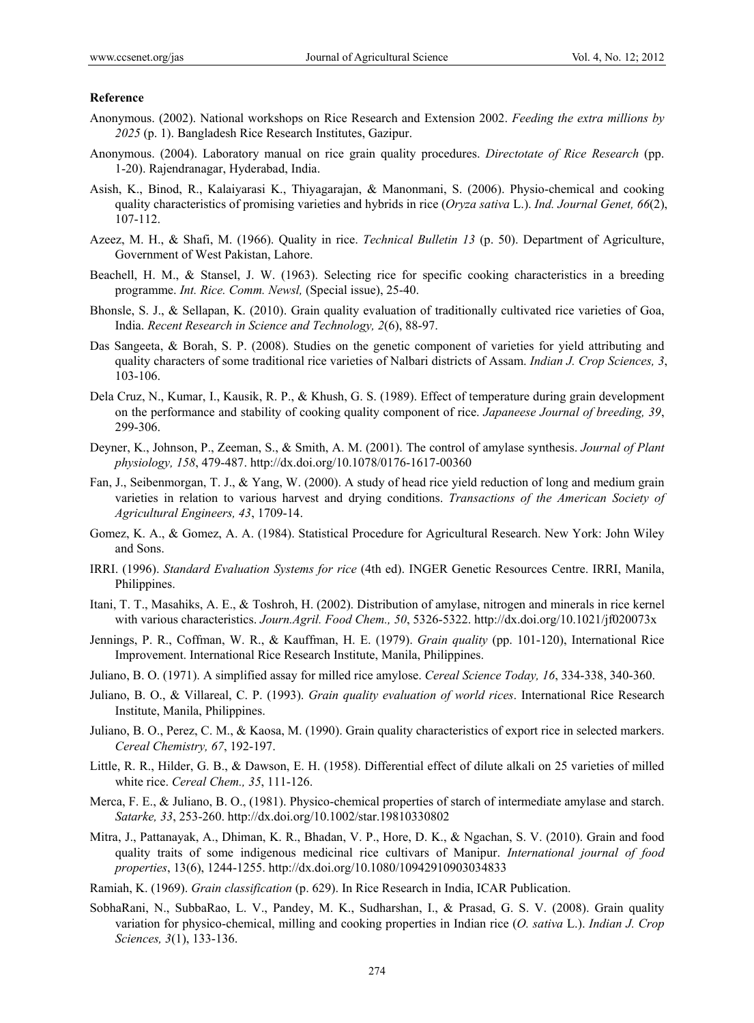#### **Reference**

- Anonymous. (2002). National workshops on Rice Research and Extension 2002. *Feeding the extra millions by 2025* (p. 1). Bangladesh Rice Research Institutes, Gazipur.
- Anonymous. (2004). Laboratory manual on rice grain quality procedures. *Directotate of Rice Research* (pp. 1-20). Rajendranagar, Hyderabad, India.
- Asish, K., Binod, R., Kalaiyarasi K., Thiyagarajan, & Manonmani, S. (2006). Physio-chemical and cooking quality characteristics of promising varieties and hybrids in rice (*Oryza sativa* L.). *Ind. Journal Genet, 66*(2), 107-112.
- Azeez, M. H., & Shafi, M. (1966). Quality in rice. *Technical Bulletin 13* (p. 50). Department of Agriculture, Government of West Pakistan, Lahore.
- Beachell, H. M., & Stansel, J. W. (1963). Selecting rice for specific cooking characteristics in a breeding programme. *Int. Rice. Comm. Newsl,* (Special issue), 25-40.
- Bhonsle, S. J., & Sellapan, K. (2010). Grain quality evaluation of traditionally cultivated rice varieties of Goa, India. *Recent Research in Science and Technology, 2*(6), 88-97.
- Das Sangeeta, & Borah, S. P. (2008). Studies on the genetic component of varieties for yield attributing and quality characters of some traditional rice varieties of Nalbari districts of Assam. *Indian J. Crop Sciences, 3*, 103-106.
- Dela Cruz, N., Kumar, I., Kausik, R. P., & Khush, G. S. (1989). Effect of temperature during grain development on the performance and stability of cooking quality component of rice. *Japaneese Journal of breeding, 39*, 299-306.
- Deyner, K., Johnson, P., Zeeman, S., & Smith, A. M. (2001). The control of amylase synthesis. *Journal of Plant physiology, 158*, 479-487. http://dx.doi.org/10.1078/0176-1617-00360
- Fan, J., Seibenmorgan, T. J., & Yang, W. (2000). A study of head rice yield reduction of long and medium grain varieties in relation to various harvest and drying conditions. *Transactions of the American Society of Agricultural Engineers, 43*, 1709-14.
- Gomez, K. A., & Gomez, A. A. (1984). Statistical Procedure for Agricultural Research. New York: John Wiley and Sons.
- IRRI. (1996). *Standard Evaluation Systems for rice* (4th ed). INGER Genetic Resources Centre. IRRI, Manila, Philippines.
- Itani, T. T., Masahiks, A. E., & Toshroh, H. (2002). Distribution of amylase, nitrogen and minerals in rice kernel with various characteristics. *Journ.Agril. Food Chem., 50*, 5326-5322. http://dx.doi.org/10.1021/jf020073x
- Jennings, P. R., Coffman, W. R., & Kauffman, H. E. (1979). *Grain quality* (pp. 101-120), International Rice Improvement. International Rice Research Institute, Manila, Philippines.
- Juliano, B. O. (1971). A simplified assay for milled rice amylose. *Cereal Science Today, 16*, 334-338, 340-360.
- Juliano, B. O., & Villareal, C. P. (1993). *Grain quality evaluation of world rices*. International Rice Research Institute, Manila, Philippines.
- Juliano, B. O., Perez, C. M., & Kaosa, M. (1990). Grain quality characteristics of export rice in selected markers. *Cereal Chemistry, 67*, 192-197.
- Little, R. R., Hilder, G. B., & Dawson, E. H. (1958). Differential effect of dilute alkali on 25 varieties of milled white rice. *Cereal Chem., 35*, 111-126.
- Merca, F. E., & Juliano, B. O., (1981). Physico-chemical properties of starch of intermediate amylase and starch. *Satarke, 33*, 253-260. http://dx.doi.org/10.1002/star.19810330802
- Mitra, J., Pattanayak, A., Dhiman, K. R., Bhadan, V. P., Hore, D. K., & Ngachan, S. V. (2010). Grain and food quality traits of some indigenous medicinal rice cultivars of Manipur. *International journal of food properties*, 13(6), 1244-1255. http://dx.doi.org/10.1080/10942910903034833
- Ramiah, K. (1969). *Grain classification* (p. 629). In Rice Research in India, ICAR Publication.
- SobhaRani, N., SubbaRao, L. V., Pandey, M. K., Sudharshan, I., & Prasad, G. S. V. (2008). Grain quality variation for physico-chemical, milling and cooking properties in Indian rice (*O. sativa* L.). *Indian J. Crop Sciences, 3*(1), 133-136.